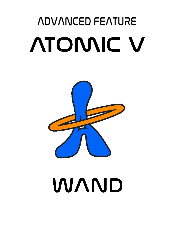# *ADVANCED FEATURE* **ATOMIC V**



# **WAND**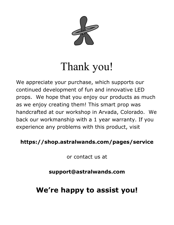

# Thank you!

We appreciate your purchase, which supports our continued development of fun and innovative LED props. We hope that you enjoy our products as much as we enjoy creating them! This smart prop was handcrafted at our workshop in Arvada, Colorado. We back our workmanship with a 1 year warranty. If you experience any problems with this product, visit

## **[https://shop.astralwands.com/pages/service](https://shop.astralhoops.com/pages/service)**

or contact us at

**s[upport@astralwands.com](mailto:Support@astralhoops.com)**

# **We're happy to assist you!**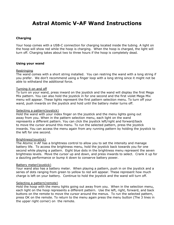### **Astral Atomic V-AF Wand Instructions**

#### **Charging**

Your hoop comes with a USB-C connection for charging located inside the tubing. A light on the hoop will show red while the hoop is charging. When the hoop is charged, the light will turn off. Charging takes about two to three hours if the hoop is completely dead.

#### **Using your wand**

#### **Restringing**

The wand comes with a short string installed. You can restring the wand with a long string if you prefer. We don't recommend using a finger loop with a long string since it might not be able to withstand the additional force.

#### Turning it on and off

To turn on your wand, press inward on the joystick and the wand will display the first Mega Mix pattern. You can also hold the joystick in for one second and the first violet Mega Mix menu will appear. These lights represent the first pattern selection menu. To turn off your wand, push inwards on the joystick and hold until the battery meter turns off.

#### Selecting a pattern(joystick)

Hold the wand with your index finger on the joystick and the menu lights going out away from you. When in the pattern selection menu, each light on the wand represents a different pattern. You can click the joystick left/right and forward/back to move the cursor around this menu. To run the selected pattern, press the joystick inwards. You can access the menu again from any running pattern by holding the joystick to the left for one second.

#### Brightness(joystick)

The Atomic V-AF has a brightness control to allow you to set the intensity and manage battery life. To access the brightness menu, hold the joystick back towards you for one second while playing a pattern. Eight blue dots in the brightness menu represent the seven brightness levels. Move the cursor up and down, and press inwards to select. Crank it up for a dazzling performance or bump it down to conserve battery power.

#### Battery meter(joystick)

Your wand also has a battery meter. When playing a pattern, push in on the joystick and a series of dots ranging from green to yellow to red will appear. These represent how much charge is left on your battery. Continue to hold the joystick and the wand will turn off.

#### Selecting a pattern(remote)

Hold the hoop with the menu lights going out away from you. When in the selection menu, each light on the hoop represents a different pattern. Use the left, right, forward, and back buttons on the remote to move the cursor around the menus. To run the selected pattern, press OK on the remote. To return to the menu again press the menu button (The 3 lines in the upper right corner) on the remote.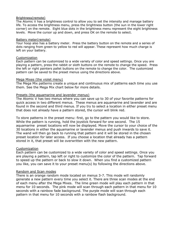#### Brightness(remote)

The Atomic V has a brightness control to allow you to set the intensity and manage battery life. To access the brightness menu, press the brightness button (the sun in the lower right corner) on the remote. Eight blue dots in the brightness menu represent the eight brightness levels. Move the cursor up and down, and press OK on the remote to select.

#### Battery meter(remote)

Your hoop also has a battery meter. Press the battery button on the remote and a series of dots ranging from green to yellow to red will appear. These represent how much charge is left on your battery.

#### Customization

Each pattern can be customized to a wide variety of color and speed settings. Once you are playing a pattern, press the rabbit or sloth buttons on the remote to change the speed. Press the left or right painters pallet buttons on the remote to change the color. The customized pattern can be saved to the preset menus using the directions above.

#### Mega Mixes (the violet menu)

The Mega Mix patterns create a unique and continuous mix of patterns each time you use them. See the Mega Mix chart below for more details.

#### Presets (the aquamarine and lavender menus)

The Atomic V has two menus where you can save up to 30 of your favorite patterns for quick access in two different menus. These menus are aquamarine and lavender and are found in the second and third menus. If you try to select a location in either preset menu that does not already have a pattern stored, the cursor will blink red.

To store patterns in the preset menu: first, go to the pattern you would like to store. While the pattern is running, hold the joystick forward for one second. The 15 aquamarine preset locations will now be displayed. Move the cursor to your choice of the 30 locations in either the aquamarine or lavender menus and push inwards to save it. The wand will then go back to running that pattern and it will be stored in the chosen preset location for later access. If you choose a location that already has a pattern stored in it, that preset will be overwritten with the new pattern.

#### **Customization**

Each pattern can be customized to a wide variety of color and speed settings. Once you are playing a pattern, tap left or right to customize the color of the pattern. Tap forward to speed up the pattern or back to slow it down. When you find a customized pattern you like, you can save it to your preset menu(s) by following the directions above.

#### Random and Scan modes

There is an orange random mode located on menus 3-7. This mode will randomly generate a new pattern every time you select it. There are three scan modes at the end of each menu after the Mega Mixes. The lime green mode will play each pattern in that menu for 10 seconds. The pink mode will scan through each pattern in that menu for 10 seconds with a rainbow fade background. The purple mode will scan through each pattern in that menu for 10 seconds with a rainbow flash background.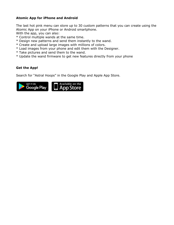#### **Atomic App for iPhone and Android**

The last hot pink menu can store up to 30 custom patterns that you can create using the Atomic App on your iPhone or Android smartphone.

With the app, you can also:

- \* Control multiple wands at the same time.
- \* Design new patterns and send them instantly to the wand.
- \* Create and upload large images with millions of colors.
- \* Load images from your phone and edit them with the Designer.
- \* Take pictures and send them to the wand.
- \* Update the wand firmware to get new features directly from your phone

#### **Get the App!**

Search for "Astral Hoops" in the Google Play and Apple App Store.

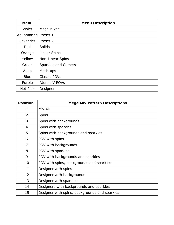| <b>Menu</b> | <b>Menu Description</b> |
|-------------|-------------------------|
| Violet      | Mega Mixes              |
| Aquamarine  | Preset 1                |
| Lavender    | Preset 2                |
| Red         | Solids                  |
| Orange      | <b>Linear Spins</b>     |
| Yellow      | Non-Linear Spins        |
| Green       | Sparkles and Comets     |
| Aqua        | Mash-ups                |
| <b>Blue</b> | <b>Classic POVs</b>     |
| Purple      | <b>Atomic V POVs</b>    |
| Hot Pink    | Designer                |

| <b>Position</b> | <b>Mega Mix Pattern Descriptions</b>          |
|-----------------|-----------------------------------------------|
| 1               | Mix All                                       |
| $\overline{2}$  | <b>Spins</b>                                  |
| 3               | Spins with backgrounds                        |
| 4               | Spins with sparkles                           |
| 5               | Spins with backgrounds and sparkles           |
| 6               | POV with spins                                |
| 7               | POV with backgrounds                          |
| 8               | POV with sparkles                             |
| 9               | POV with backgrounds and sparkles             |
| 10              | POV with spins, backgrounds and sparkles      |
| 11              | Designer with spins                           |
| 12              | Designer with backgrounds                     |
| 13              | Designer with sparkles                        |
| 14              | Designers with backgrounds and sparkles       |
| 15              | Designer with spins, backgrounds and sparkles |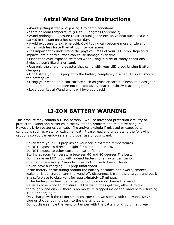### **Astral Wand Care Instructions**

- Avoid getting it wet or exposing it to damp conditions.
- Store at room temperature (60 to 85 degrees Fahrenheit).

• Avoid prolonged exposure to direct sunlight or excessive heat such as a car parked in the sun on a hot summer day.

• Avoid exposure to extreme cold. Cold tubing can become more brittle and will fail with less force than at room temperature.

• It's important to understand the physical limits of your LED prop. Repeated impacts into a hard surface can cause damage over time.

• Place tape over exposed switches when using in dirty or sandy conditions. Switches don't like dirt or sand.

• Use only the charging adapter that came with your LED prop. Unplug it after charging.

• Don't store your LED prop with the battery completely drained. This can shorten the battery life.

• Using your wand on a soft surface such as grass or carpet is best. It is designed to be durable, but use care not to excessively beat it or throw it at the ground.

• Love your Astral Wand and it will love you back!

## **LI-ION BATTERY WARNING**

This product may contain a Li-ion battery. We use advanced protection circuitry to protect the wand and batteries in the event of a problem and minimize dangers. However, Li-ion batteries can catch fire and/or explode if misused or exposed to conditions such as water or extreme heat. Please read and understand the following cautions so you can enjoy safe and proper use of your wand.

Never store your LED prop inside your car in extreme temperatures.

Do NOT expose to direct sunlight for extended periods.

Do NOT expose to other extreme heat or flame.

Storing at room temperature between 40 and 80 degrees F is best.

Don't leave an LED prop with a dead battery for an extended period.

Charge battery every 2 months when not in use to keep it fresh.

Never leave a charging LED prop unattended.

If the battery or the tubing around the battery becomes hot, swells, smokes, leaks, or is punctured, turn the wand off, disconnect it from the charger, and put it in a safe place to observe it for approximately 15 minutes.

If the battery has been damaged, do not turn on or charge the wand.

Never expose wand to moisture. If the wand does get wet, allow it to dry thoroughly and ensure there is no moisture trapped inside the wand before turning it on or charging it.

Only charge with the Li-ion smart charger that we supply with the wand. NEVER plug or stick anything else into the charging port.

Do not disassemble the wand or tamper with the battery or circuit in any way.